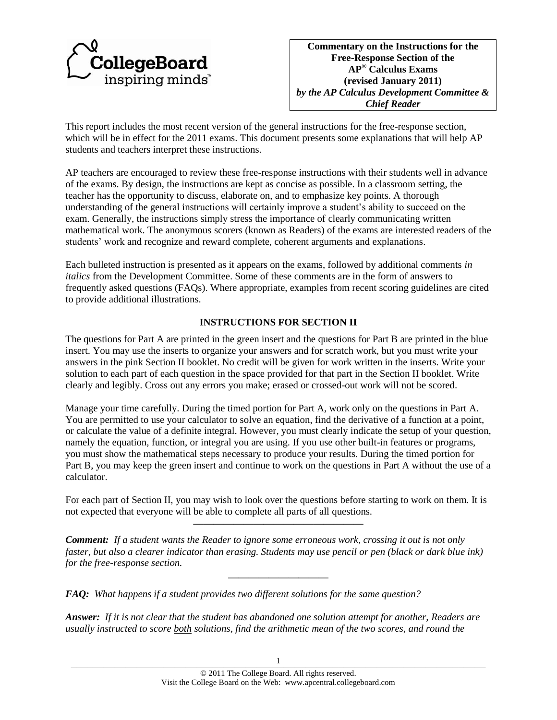

**Commentary on the Instructions for the Free-Response Section of the AP® Calculus Exams (revised January 2011)** *by the AP Calculus Development Committee & Chief Reader*

This report includes the most recent version of the general instructions for the free-response section, which will be in effect for the 2011 exams. This document presents some explanations that will help AP students and teachers interpret these instructions.

AP teachers are encouraged to review these free-response instructions with their students well in advance of the exams. By design, the instructions are kept as concise as possible. In a classroom setting, the teacher has the opportunity to discuss, elaborate on, and to emphasize key points. A thorough understanding of the general instructions will certainly improve a student's ability to succeed on the exam. Generally, the instructions simply stress the importance of clearly communicating written mathematical work. The anonymous scorers (known as Readers) of the exams are interested readers of the students' work and recognize and reward complete, coherent arguments and explanations.

Each bulleted instruction is presented as it appears on the exams, followed by additional comments *in italics* from the Development Committee. Some of these comments are in the form of answers to frequently asked questions (FAQs). Where appropriate, examples from recent scoring guidelines are cited to provide additional illustrations.

## **INSTRUCTIONS FOR SECTION II**

The questions for Part A are printed in the green insert and the questions for Part B are printed in the blue insert. You may use the inserts to organize your answers and for scratch work, but you must write your answers in the pink Section II booklet. No credit will be given for work written in the inserts. Write your solution to each part of each question in the space provided for that part in the Section II booklet. Write clearly and legibly. Cross out any errors you make; erased or crossed-out work will not be scored.

Manage your time carefully. During the timed portion for Part A, work only on the questions in Part A. You are permitted to use your calculator to solve an equation, find the derivative of a function at a point, or calculate the value of a definite integral. However, you must clearly indicate the setup of your question, namely the equation, function, or integral you are using. If you use other built-in features or programs, you must show the mathematical steps necessary to produce your results. During the timed portion for Part B, you may keep the green insert and continue to work on the questions in Part A without the use of a calculator.

For each part of Section II, you may wish to look over the questions before starting to work on them. It is not expected that everyone will be able to complete all parts of all questions. **—————————————————**

*Comment: If a student wants the Reader to ignore some erroneous work, crossing it out is not only faster, but also a clearer indicator than erasing. Students may use pencil or pen (black or dark blue ink) for the free-response section.*

**——————————**

*FAQ: What happens if a student provides two different solutions for the same question?*

*Answer: If it is not clear that the student has abandoned one solution attempt for another, Readers are usually instructed to score both solutions, find the arithmetic mean of the two scores, and round the*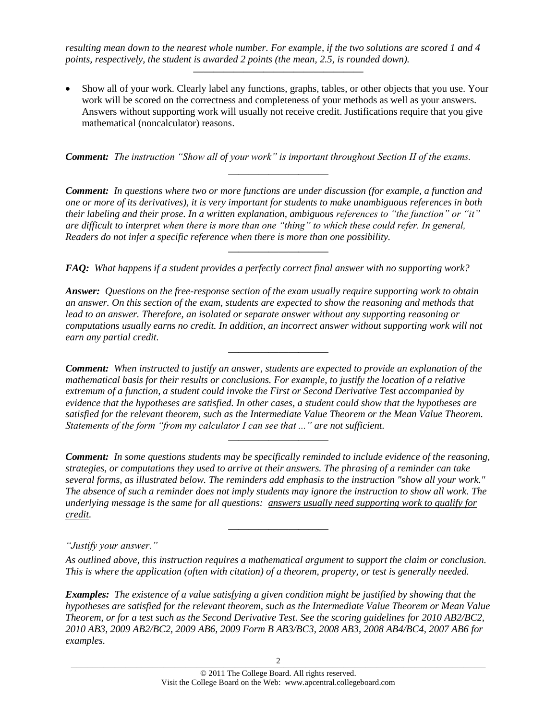*resulting mean down to the nearest whole number. For example, if the two solutions are scored 1 and 4 points, respectively, the student is awarded 2 points (the mean, 2.5, is rounded down).*

Show all of your work. Clearly label any functions, graphs, tables, or other objects that you use. Your work will be scored on the correctness and completeness of your methods as well as your answers. Answers without supporting work will usually not receive credit. Justifications require that you give mathematical (noncalculator) reasons.

**—————————————————**

*Comment: The instruction "Show all of your work" is important throughout Section II of the exams.*

*Comment: In questions where two or more functions are under discussion (for example, a function and one or more of its derivatives), it is very important for students to make unambiguous references in both their labeling and their prose. In a written explanation, ambiguous references to "the function" or "it" are difficult to interpret when there is more than one "thing" to which these could refer. In general, Readers do not infer a specific reference when there is more than one possibility.* 

**——————————**

**——————————**

*FAQ: What happens if a student provides a perfectly correct final answer with no supporting work?*

*Answer: Questions on the free-response section of the exam usually require supporting work to obtain an answer. On this section of the exam, students are expected to show the reasoning and methods that lead to an answer. Therefore, an isolated or separate answer without any supporting reasoning or computations usually earns no credit. In addition, an incorrect answer without supporting work will not earn any partial credit.* 

**——————————**

*Comment: When instructed to justify an answer, students are expected to provide an explanation of the mathematical basis for their results or conclusions. For example, to justify the location of a relative extremum of a function, a student could invoke the First or Second Derivative Test accompanied by evidence that the hypotheses are satisfied. In other cases, a student could show that the hypotheses are satisfied for the relevant theorem, such as the Intermediate Value Theorem or the Mean Value Theorem. Statements of the form "from my calculator I can see that ..." are not sufficient.*

*Comment: In some questions students may be specifically reminded to include evidence of the reasoning, strategies, or computations they used to arrive at their answers. The phrasing of a reminder can take several forms, as illustrated below. The reminders add emphasis to the instruction "show all your work." The absence of such a reminder does not imply students may ignore the instruction to show all work. The underlying message is the same for all questions: answers usually need supporting work to qualify for credit.*

**——————————**

**——————————**

*"Justify your answer."*

*As outlined above, this instruction requires a mathematical argument to support the claim or conclusion. This is where the application (often with citation) of a theorem, property, or test is generally needed.*

*Examples: The existence of a value satisfying a given condition might be justified by showing that the hypotheses are satisfied for the relevant theorem, such as the Intermediate Value Theorem or Mean Value Theorem, or for a test such as the Second Derivative Test. See the scoring guidelines for 2010 AB2/BC2, 2010 AB3, 2009 AB2/BC2, 2009 AB6, 2009 Form B AB3/BC3, 2008 AB3, 2008 AB4/BC4, 2007 AB6 for examples.*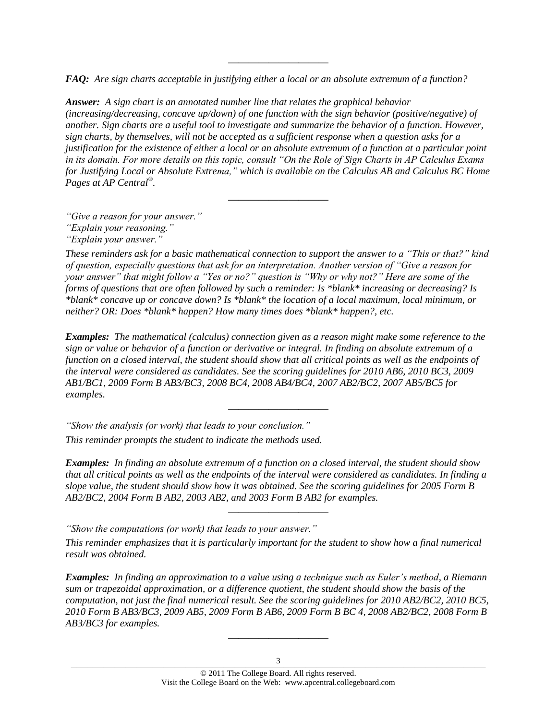*FAQ: Are sign charts acceptable in justifying either a local or an absolute extremum of a function?*

**——————————**

*Answer: A sign chart is an annotated number line that relates the graphical behavior (increasing/decreasing, concave up/down) of one function with the sign behavior (positive/negative) of another. Sign charts are a useful tool to investigate and summarize the behavior of a function. However, sign charts, by themselves, will not be accepted as a sufficient response when a question asks for a justification for the existence of either a local or an absolute extremum of a function at a particular point in its domain. For more details on this topic, consult "On the Role of Sign Charts in AP Calculus Exams for Justifying Local or Absolute Extrema," which is available on the Calculus AB and Calculus BC Home Pages at AP Central® .*

**——————————**

*"Give a reason for your answer."*

*These reminders ask for a basic mathematical connection to support the answer to a "This or that?" kind of question, especially questions that ask for an interpretation. Another version of "Give a reason for your answer" that might follow a "Yes or no?" question is "Why or why not?" Here are some of the forms of questions that are often followed by such a reminder: Is \*blank\* increasing or decreasing? Is \*blank\* concave up or concave down? Is \*blank\* the location of a local maximum, local minimum, or neither? OR: Does \*blank\* happen? How many times does \*blank\* happen?, etc.*

*Examples: The mathematical (calculus) connection given as a reason might make some reference to the sign or value or behavior of a function or derivative or integral. In finding an absolute extremum of a function on a closed interval, the student should show that all critical points as well as the endpoints of the interval were considered as candidates. See the scoring guidelines for 2010 AB6, 2010 BC3, 2009 AB1/BC1, 2009 Form B AB3/BC3, 2008 BC4, 2008 AB4/BC4, 2007 AB2/BC2, 2007 AB5/BC5 for examples.*

**——————————**

*"Show the analysis (or work) that leads to your conclusion."*

*This reminder prompts the student to indicate the methods used.*

*Examples: In finding an absolute extremum of a function on a closed interval, the student should show that all critical points as well as the endpoints of the interval were considered as candidates. In finding a slope value, the student should show how it was obtained. See the scoring guidelines for 2005 Form B AB2/BC2, 2004 Form B AB2, 2003 AB2, and 2003 Form B AB2 for examples.*

**——————————**

*"Show the computations (or work) that leads to your answer."*

*This reminder emphasizes that it is particularly important for the student to show how a final numerical result was obtained.*

*Examples: In finding an approximation to a value using a technique such as Euler's method, a Riemann sum or trapezoidal approximation, or a difference quotient, the student should show the basis of the computation, not just the final numerical result. See the scoring guidelines for 2010 AB2/BC2, 2010 BC5, 2010 Form B AB3/BC3, 2009 AB5, 2009 Form B AB6, 2009 Form B BC 4, 2008 AB2/BC2, 2008 Form B AB3/BC3 for examples.*

**——————————**

*<sup>&</sup>quot;Explain your reasoning."*

*<sup>&</sup>quot;Explain your answer."*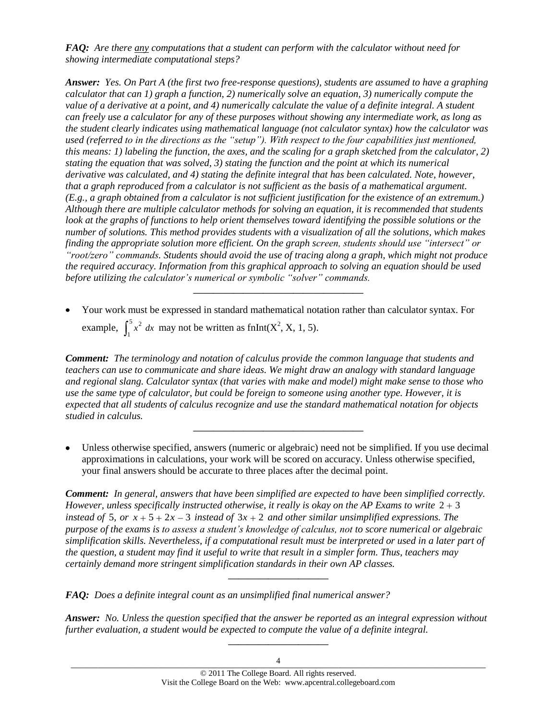*FAQ: Are there any computations that a student can perform with the calculator without need for showing intermediate computational steps?*

*Answer: Yes. On Part A (the first two free-response questions), students are assumed to have a graphing calculator that can 1) graph a function, 2) numerically solve an equation, 3) numerically compute the value of a derivative at a point, and 4) numerically calculate the value of a definite integral. A student can freely use a calculator for any of these purposes without showing any intermediate work, as long as the student clearly indicates using mathematical language (not calculator syntax) how the calculator was used (referred to in the directions as the "setup"). With respect to the four capabilities just mentioned, this means: 1) labeling the function, the axes, and the scaling for a graph sketched from the calculator, 2) stating the equation that was solved, 3) stating the function and the point at which its numerical derivative was calculated, and 4) stating the definite integral that has been calculated. Note, however, that a graph reproduced from a calculator is not sufficient as the basis of a mathematical argument. (E.g., a graph obtained from a calculator is not sufficient justification for the existence of an extremum.) Although there are multiple calculator methods for solving an equation, it is recommended that students look at the graphs of functions to help orient themselves toward identifying the possible solutions or the number of solutions. This method provides students with a visualization of all the solutions, which makes finding the appropriate solution more efficient. On the graph screen, students should use "intersect" or "root/zero" commands. Students should avoid the use of tracing along a graph, which might not produce the required accuracy. Information from this graphical approach to solving an equation should be used before utilizing the calculator's numerical or symbolic "solver" commands.*

Your work must be expressed in standard mathematical notation rather than calculator syntax. For example,  $\int_{0}^{5} x^{2} dx$  $\int_{1}^{3} x^2 dx$  may not be written as fnInt(X<sup>2</sup>, X, 1, 5).

**—————————————————**

*Comment: The terminology and notation of calculus provide the common language that students and teachers can use to communicate and share ideas. We might draw an analogy with standard language and regional slang. Calculator syntax (that varies with make and model) might make sense to those who use the same type of calculator, but could be foreign to someone using another type. However, it is expected that all students of calculus recognize and use the standard mathematical notation for objects studied in calculus.*

Unless otherwise specified, answers (numeric or algebraic) need not be simplified. If you use decimal approximations in calculations, your work will be scored on accuracy. Unless otherwise specified, your final answers should be accurate to three places after the decimal point.

**—————————————————**

*Comment: In general, answers that have been simplified are expected to have been simplified correctly. However, unless specifically instructed otherwise, it really is okay on the AP Exams to write*  $2 + 3$ *instead of* 5, or  $x + 5 + 2x - 3$  *instead of*  $3x + 2$  *and other similar unsimplified expressions. The purpose of the exams is to assess a student's knowledge of calculus, not to score numerical or algebraic simplification skills. Nevertheless, if a computational result must be interpreted or used in a later part of the question, a student may find it useful to write that result in a simpler form. Thus, teachers may certainly demand more stringent simplification standards in their own AP classes.*

*FAQ: Does a definite integral count as an unsimplified final numerical answer?*

*Answer: No. Unless the question specified that the answer be reported as an integral expression without further evaluation, a student would be expected to compute the value of a definite integral.*

**——————————**